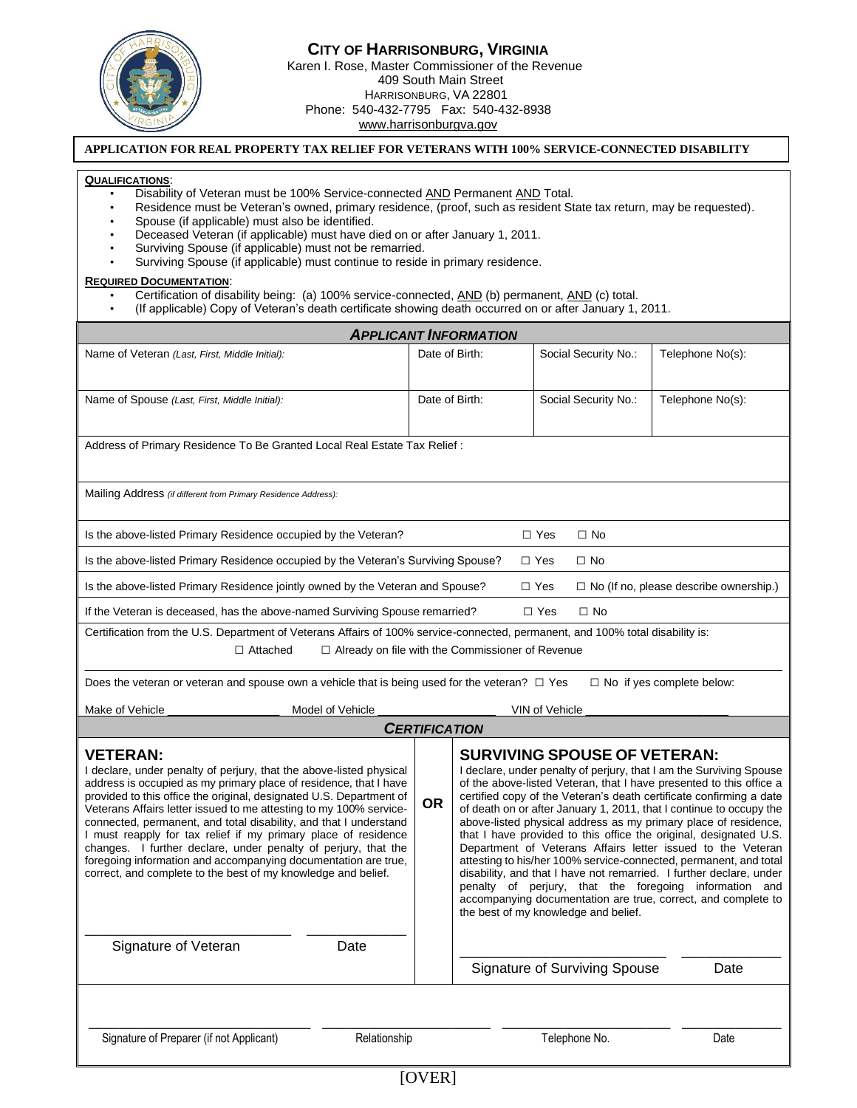

## **CITY OF HARRISONBURG, VIRGINIA** Karen I. Rose, Master Commissioner of the Revenue 409 South Main Street HARRISONBURG, VA 22801 Phone: 540-432-7795 Fax: 540-432-8938 www.harrisonburgva.gov

## **APPLICATION FOR REAL PROPERTY TAX RELIEF FOR VETERANS WITH 100% SERVICE-CONNECTED DISABILITY**

## **QUALIFICATIONS**:

- Disability of Veteran must be 100% Service-connected **AND Permanent AND** Total.
- Residence must be Veteran's owned, primary residence, (proof, such as resident State tax return, may be requested).
- Spouse (if applicable) must also be identified.
- Deceased Veteran (if applicable) must have died on or after January 1, 2011.
- Surviving Spouse (if applicable) must not be remarried.
- Surviving Spouse (if applicable) must continue to reside in primary residence.

## **REQUIRED DOCUMENTATION**:

- Certification of disability being: (a) 100% service-connected, AND (b) permanent, AND (c) total.
- (If applicable) Copy of Veteran's death certificate showing death occurred on or after January 1, 2011.

| <b>APPLICANT INFORMATION</b>                                                                                                                                                                                                                                                                                                                                                                                                                                                                                                                                                                                                                         |           |                                                                                                                                                                                                                                                                                                                                                                                                                                                                                                                                                                                                                                                                                                                                                                                                                                                       |                                      |                  |  |  |  |  |
|------------------------------------------------------------------------------------------------------------------------------------------------------------------------------------------------------------------------------------------------------------------------------------------------------------------------------------------------------------------------------------------------------------------------------------------------------------------------------------------------------------------------------------------------------------------------------------------------------------------------------------------------------|-----------|-------------------------------------------------------------------------------------------------------------------------------------------------------------------------------------------------------------------------------------------------------------------------------------------------------------------------------------------------------------------------------------------------------------------------------------------------------------------------------------------------------------------------------------------------------------------------------------------------------------------------------------------------------------------------------------------------------------------------------------------------------------------------------------------------------------------------------------------------------|--------------------------------------|------------------|--|--|--|--|
| Name of Veteran (Last, First, Middle Initial):                                                                                                                                                                                                                                                                                                                                                                                                                                                                                                                                                                                                       |           | Date of Birth:                                                                                                                                                                                                                                                                                                                                                                                                                                                                                                                                                                                                                                                                                                                                                                                                                                        | Social Security No.:                 | Telephone No(s): |  |  |  |  |
| Name of Spouse (Last, First, Middle Initial):                                                                                                                                                                                                                                                                                                                                                                                                                                                                                                                                                                                                        |           | Date of Birth:                                                                                                                                                                                                                                                                                                                                                                                                                                                                                                                                                                                                                                                                                                                                                                                                                                        | Social Security No.:                 | Telephone No(s): |  |  |  |  |
| Address of Primary Residence To Be Granted Local Real Estate Tax Relief:                                                                                                                                                                                                                                                                                                                                                                                                                                                                                                                                                                             |           |                                                                                                                                                                                                                                                                                                                                                                                                                                                                                                                                                                                                                                                                                                                                                                                                                                                       |                                      |                  |  |  |  |  |
| Mailing Address (if different from Primary Residence Address):                                                                                                                                                                                                                                                                                                                                                                                                                                                                                                                                                                                       |           |                                                                                                                                                                                                                                                                                                                                                                                                                                                                                                                                                                                                                                                                                                                                                                                                                                                       |                                      |                  |  |  |  |  |
| Is the above-listed Primary Residence occupied by the Veteran?<br>$\Box$ Yes<br>$\Box$ No                                                                                                                                                                                                                                                                                                                                                                                                                                                                                                                                                            |           |                                                                                                                                                                                                                                                                                                                                                                                                                                                                                                                                                                                                                                                                                                                                                                                                                                                       |                                      |                  |  |  |  |  |
| Is the above-listed Primary Residence occupied by the Veteran's Surviving Spouse?<br>$\Box$ Yes<br>$\Box$ No                                                                                                                                                                                                                                                                                                                                                                                                                                                                                                                                         |           |                                                                                                                                                                                                                                                                                                                                                                                                                                                                                                                                                                                                                                                                                                                                                                                                                                                       |                                      |                  |  |  |  |  |
| Is the above-listed Primary Residence jointly owned by the Veteran and Spouse?<br>$\Box$ Yes<br>$\Box$ No (If no, please describe ownership.)                                                                                                                                                                                                                                                                                                                                                                                                                                                                                                        |           |                                                                                                                                                                                                                                                                                                                                                                                                                                                                                                                                                                                                                                                                                                                                                                                                                                                       |                                      |                  |  |  |  |  |
| If the Veteran is deceased, has the above-named Surviving Spouse remarried?<br>$\Box$ Yes<br>$\Box$ No                                                                                                                                                                                                                                                                                                                                                                                                                                                                                                                                               |           |                                                                                                                                                                                                                                                                                                                                                                                                                                                                                                                                                                                                                                                                                                                                                                                                                                                       |                                      |                  |  |  |  |  |
| Certification from the U.S. Department of Veterans Affairs of 100% service-connected, permanent, and 100% total disability is:<br>$\Box$ Attached<br>$\Box$ Already on file with the Commissioner of Revenue                                                                                                                                                                                                                                                                                                                                                                                                                                         |           |                                                                                                                                                                                                                                                                                                                                                                                                                                                                                                                                                                                                                                                                                                                                                                                                                                                       |                                      |                  |  |  |  |  |
| $\Box$ No if yes complete below:<br>Does the veteran or veteran and spouse own a vehicle that is being used for the veteran? $\square$ Yes                                                                                                                                                                                                                                                                                                                                                                                                                                                                                                           |           |                                                                                                                                                                                                                                                                                                                                                                                                                                                                                                                                                                                                                                                                                                                                                                                                                                                       |                                      |                  |  |  |  |  |
| Model of Vehicle<br>Make of Vehicle<br>VIN of Vehicle<br><b>CERTIFICATION</b>                                                                                                                                                                                                                                                                                                                                                                                                                                                                                                                                                                        |           |                                                                                                                                                                                                                                                                                                                                                                                                                                                                                                                                                                                                                                                                                                                                                                                                                                                       |                                      |                  |  |  |  |  |
|                                                                                                                                                                                                                                                                                                                                                                                                                                                                                                                                                                                                                                                      |           |                                                                                                                                                                                                                                                                                                                                                                                                                                                                                                                                                                                                                                                                                                                                                                                                                                                       |                                      |                  |  |  |  |  |
| <b>VETERAN:</b><br>I declare, under penalty of perjury, that the above-listed physical<br>address is occupied as my primary place of residence, that I have<br>provided to this office the original, designated U.S. Department of<br>Veterans Affairs letter issued to me attesting to my 100% service-<br>connected, permanent, and total disability, and that I understand<br>I must reapply for tax relief if my primary place of residence<br>changes. I further declare, under penalty of perjury, that the<br>foregoing information and accompanying documentation are true,<br>correct, and complete to the best of my knowledge and belief. | <b>OR</b> | <b>SURVIVING SPOUSE OF VETERAN:</b><br>I declare, under penalty of perjury, that I am the Surviving Spouse<br>of the above-listed Veteran, that I have presented to this office a<br>certified copy of the Veteran's death certificate confirming a date<br>of death on or after January 1, 2011, that I continue to occupy the<br>above-listed physical address as my primary place of residence,<br>that I have provided to this office the original, designated U.S.<br>Department of Veterans Affairs letter issued to the Veteran<br>attesting to his/her 100% service-connected, permanent, and total<br>disability, and that I have not remarried. I further declare, under<br>penalty of perjury, that the foregoing information and<br>accompanying documentation are true, correct, and complete to<br>the best of my knowledge and belief. |                                      |                  |  |  |  |  |
| Signature of Veteran<br>Date                                                                                                                                                                                                                                                                                                                                                                                                                                                                                                                                                                                                                         |           |                                                                                                                                                                                                                                                                                                                                                                                                                                                                                                                                                                                                                                                                                                                                                                                                                                                       | <b>Signature of Surviving Spouse</b> | Date             |  |  |  |  |
|                                                                                                                                                                                                                                                                                                                                                                                                                                                                                                                                                                                                                                                      |           |                                                                                                                                                                                                                                                                                                                                                                                                                                                                                                                                                                                                                                                                                                                                                                                                                                                       |                                      |                  |  |  |  |  |
| Signature of Preparer (if not Applicant)<br>Relationship                                                                                                                                                                                                                                                                                                                                                                                                                                                                                                                                                                                             |           |                                                                                                                                                                                                                                                                                                                                                                                                                                                                                                                                                                                                                                                                                                                                                                                                                                                       | Telephone No.                        | Date             |  |  |  |  |